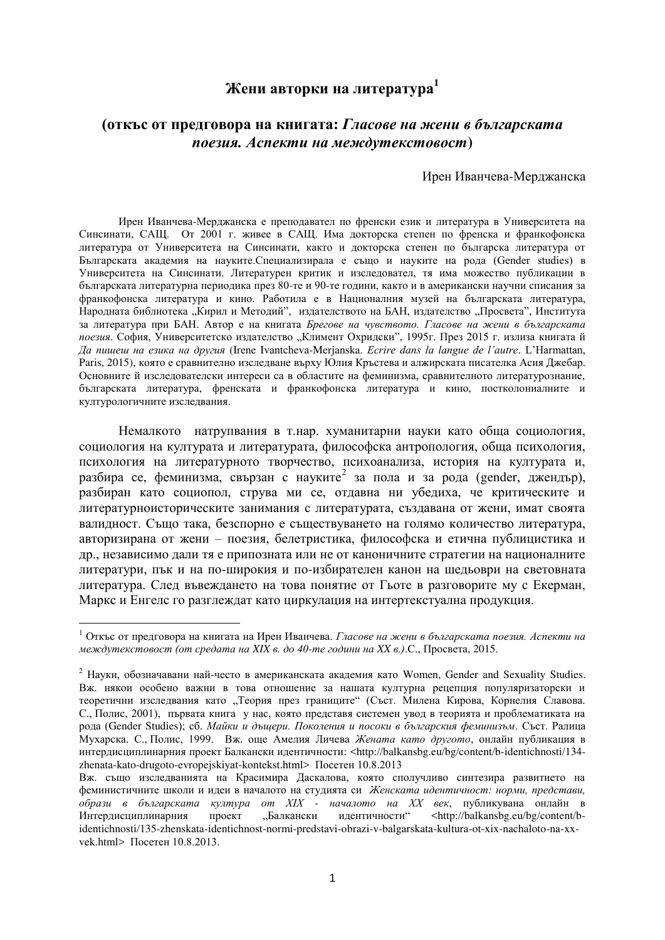## **Жени авторки на литература**<sup>1</sup>

## (откъс от предговора на книгата: Гласове на жени в българската  $\boldsymbol{ho}$ езия. Аспекти на междутекстовост $\boldsymbol{h}$

Ирен Иванчева-Мерджанска

Ирен Иванчева-Мерджанска е преподавател по френски език и литература в Университета на Синсинати, САЩ. От 2001 г. живее в САЩ. Има докторска степен по френска и франкофонска литература от Университета на Синсинати, както и докторска степен по българска литература от Българската академия на науките.Специализирала е също и науките на рода (Gender studies) в Университета на Синсинати. Литературен критик и изследовател, тя има можество публикации в българската литературна периодика през 80-те и 90-те години, както и в американски научни списания за франкофонска литература и кино. Работила е в Националния музей на българската литература, Народната библиотека "Кирил и Методий", издателството на БАН, издателство "Просвета", Института за литература при БАН. Автор е на книгата *Брегове на чувството. Гласове на жени в българската* лоезия. София. Университетско излателство "Климент Охрилски", 1995г. През 2015 г. излиза книгата й *Ⱦɚ ɩɢɲɟɲ ɧɚ ɟɡɢɤɚ ɧɚ ɞɪɭɝɢя* (Irene Ivantcheva-Merjanska. *EМrire dКns ХК ХКnРue de Х'Кutre*. L'HКrmКttКЧ, Paris, 2015), която е сравнително изследване върху Юлия Кръстева и алжирската писателка Асия Джебар. Основните й изследователски интереси са в областите на феминизма, сравнителното литературознание, българската литература, френската и франкофонска литература и кино, постколониалните и културологичните изследвания.

Немалкото натрупвания в т.нар. хуманитарни науки като обща социология, социология на културата и литературата, философска антропология, обща психология, психология на литературното творчество, психоанализа, история на културата и, разбира се, феминизма, свързан с науките<sup>2</sup> за пола и за рода (gender, джендър), разбиран като социопол, струва ми се, отдавна ни убедиха, че критическите и литературноисторическите занимания с литературата, създавана от жени, имат своята валилност. Съшо така, безспорно е съществуването на голямо количество литература. авторизирана от жени – поезия, белетристика, философска и етична публицистика и др., независимо дали тя е припозната или не от каноничните стратегии на националните литератури, пък и на по-широкия и по-избирателен канон на шельоври на световната литература. След въвеждането на това понятие от Гьоте в разговорите му с Екерман, Маркс и Енгелс го разглеждат като циркулация на интертекстуална продукция.

1

<sup>&</sup>lt;sup>1</sup> Откъс от предговора на книгата на Ирен Иванчева. *Гласове на жени в българската поезия. Аспекти на*  $\mu$ еждутекстовост (от средата на XIX в. до 40-те години на XX в.).С., Просвета, 2015.

 $2$  Науки, обозначавани най-често в американската академия като Women, Gender and Sexuality Studies. Вж. някои особено важни в това отношение за нашата културна рецепция популяризаторски и теоретични изследвания като "Теория през границите" (Съст. Милена Кирова, Корнелия Славова. С., Полис, 2001), първата книга у нас, която представя системен увод в теорията и проблематиката на рода (Gender Studies); сб. *Майки и дъщери. Поколения и посоки в българския феминизъм*. Съст. Ралица Мухарска. С., Полис, 1999. Вж. още Амелия Личева Жената като другото, онлайн публикация в интердисциплинарния проект Балкански идентичности: <http://balkansbg.eu/bg/content/b-identichnosti/134zhenata-kato-drugoto-evropejskiyat-kontekst.html> Посетен 10.8.2013

Вж. също изследванията на Красимира Даскалова, която сполучливо синтезира развитието на феминистичните школи и идеи в началото на студията си Женската идентичност: норми, представи, *øбрази в българската култура от XIX - началото на XX век*, публикувана онлайн в интердистите из издетинисти" <http://balkansbg.eu/bg/content/b-Интердисциплинарния проект "Балкански идентичности" <http://balkansbg.eu/bg/content/bidentichnosti/135-zhenskata-identichnost-normi-predstavi-obrazi-v-balgarskata-kultura-ot-xix-nachaloto-na-xxvek.html>  $\Pi$ <sub>ocereh</sub> 10.8.2013.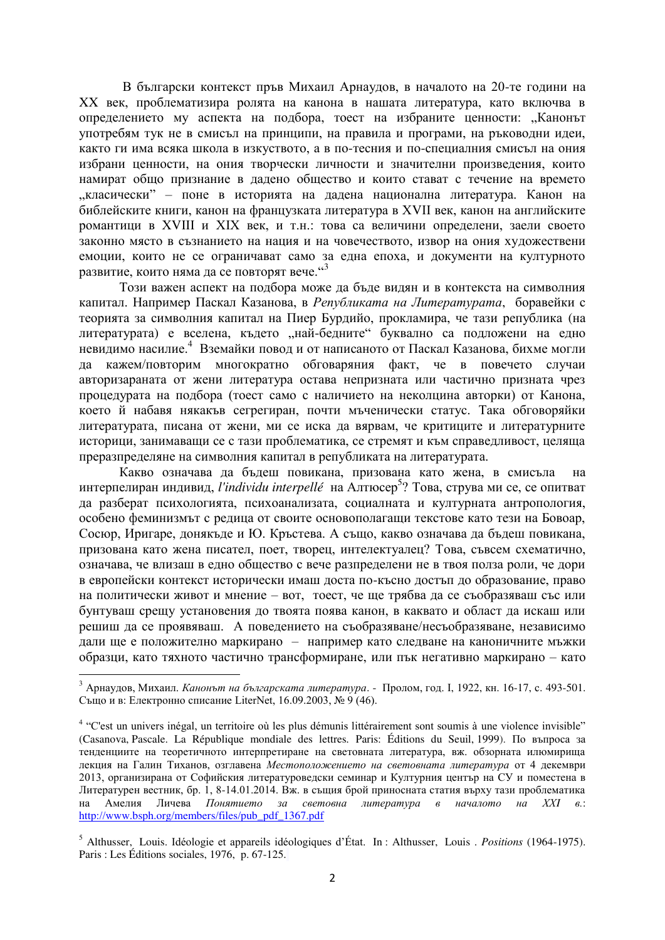В български контекст пръв Михаил Арнаудов, в началото на 20-те години на XX век, проблематизира ролята на канона в нашата литература, като включва в определението му аспекта на подбора, тоест на избраните ценности: "Канонът употребям тук не в смисъл на принципи, на правила и програми, на ръководни идеи, както ги има всяка школа в изкуството, а в по-тесния и по-специалния смисъл на ония избрани ценности, на ония творчески личности и значителни произведения, които намират общо признание в дадено общество и които стават с течение на времето "класически" – поне в историята на дадена национална литература. Канон на библейските книги, канон на французката литература в XVII век, канон на английските романтици в XVIII и XIX век, и т.н.: това са величини определени, заели своето законно място в съзнанието на нация и на човечеството, извор на ония художествени емоции, които не се ограничават само за една епоха, и документи на културното развитие, които няма да се повторят вече. "З

Този важен аспект на подбора може да бъде видян и в контекста на символния капитал. Например Паскал Казанова, в Републиката на Литературата, боравейки с теорията за символния капитал на Пиер Бурдийо, прокламира, че тази република (на литературата) е вселена, където "най-бедните" буквално са подложени на едно невидимо насилие.<sup>4</sup> Вземайки повод и от написаното от Паскал Казанова, бихме могли да кажем/повторим многократно обговаряния факт, че в повечето случаи авторизараната от жени литература остава непризната или частично призната чрез процедурата на подбора (тоест само с наличието на неколцина авторки) от Канона, което й набавя някакъв сегрегиран, почти мъченически статус. Така обговоряйки литературата, писана от жени, ми се иска да вярвам, че критиците и литературните историци, занимаващи се с тази проблематика, се стремят и към справедливост, целяща преразпределяне на символния капитал в републиката на литературата.

Какво означава да бъдеш повикана, призована като жена, в смисъла на интерпелиран индивид, *l'individu interpellé* на Алтюсер<sup>5</sup>? Това, струва ми се, се опитват да разберат психологията, психоанализата, социалната и културната антропология, особено феминизмът с редица от своите основополагащи текстове като тези на Бовоар, Сосюр, Иригаре, донякъде и Ю. Кръстева. А също, какво означава да бъдеш повикана, призована като жена писател, поет, творец, интелектуалец? Това, съвсем схематично, означава, че влизаш в едно общество с вече разпределени не в твоя полза роли, че дори в европейски контекст исторически имаш доста по-късно достъп до образование, право на политически живот и мнение – вот, тоест, че ще трябва да се съобразяваш със или бунтуваш срещу установения до твоята поява канон, в каквато и област да искаш или решиш да се проявяваш. А поведението на съобразяване/несъобразяване, независимо дали ще е положително маркирано – например като следване на каноничните мъжки образци, като тяхното частично трансформиране, или пък негативно маркирано – като

<sup>&</sup>lt;sup>3</sup> Арнаудов, Михаил. *Канонът на българската литература*. - Пролом, год. I, 1922, кн. 16-17, с. 493-501. Също и в: Електронно списание LiterNet, 16.09.2003, № 9 (46).

<sup>&</sup>lt;sup>4</sup> "C'est un univers inégal, un territoire où les plus démunis littérairement sont soumis à une violence invisible" (Casanova, Pascale. La République mondiale des lettres. Paris: Éditions du Seuil, 1999). По въпроса за тенденциите на теоретичното интерпретиране на световната литература, вж. обзорната илюмирища лекция на Галин Тиханов, озглавена *Местоположението на световната литература* от 4 лекември 2013, организирана от Софийския литературовелски семинар и Културния център на СУ и поместена в Литературен вестник, бр. 1, 8-14.01.2014. Вж. в същия брой приносната статия върху тази проблематика на Амелия Личева *Понятието за световна литература в началото на XXI в.*: [http://www.bsph.org/members/files/pub\\_pdf\\_1367.pdf](http://www.bsph.org/members/files/pub_pdf_1367.pdf)

<sup>&</sup>lt;sup>5</sup> Althusser, Louis. Idéologie et appareils idéologiques d'État. In : Althusser, Louis . *Positions* (1964-1975). Paris : Les Éditions sociales, 1976, p. 67-125.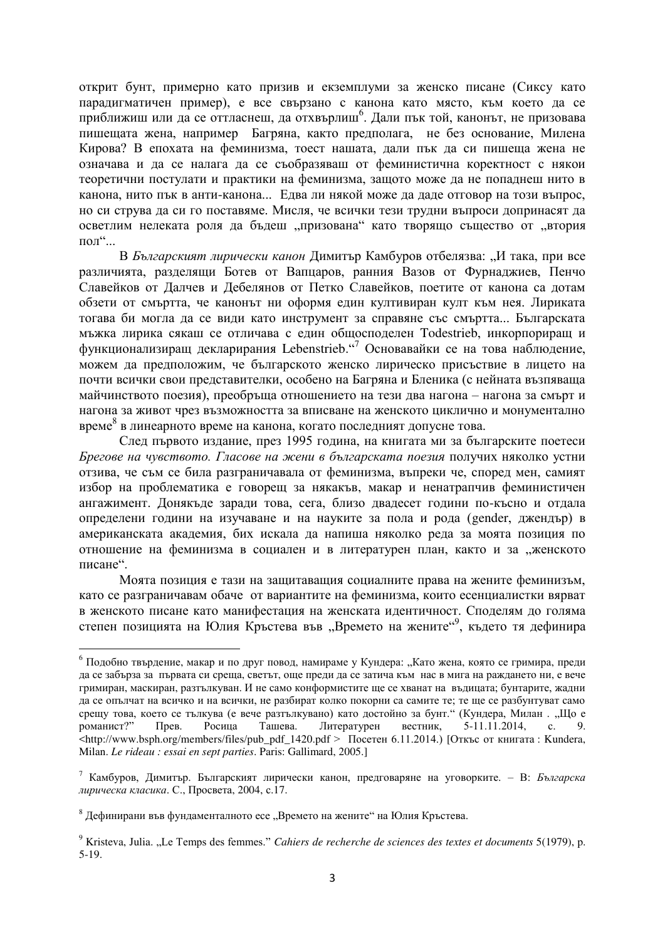открит бунт, примерно като призив и екземплуми за женско писане (Сиксу като парадигматичен пример), е все свързано с канона като място, към което да се приближиш или да се оттласнеш, да отхвърлиш<sup>6</sup>. Дали пък той, канонът, не призовава пишещата жена, например Багряна, както предполага, не без основание, Милена Кирова? В епохата на феминизма, тоест нашата, дали пък да си пишеща жена не означава и да се налага да се съобразяваш от феминистична коректност с някои теоретични постулати и практики на феминизма, защото може да не попаднеш нито в канона, нито пък в анти-канона... Едва ли някой може да даде отговор на този въпрос, но си струва да си го поставяме. Мисля, че всички тези трудни въпроси допринасят да осветлим нелеката роля да бъдеш "призована" като творящо същество от "втория  $\Pi$ O $\pi$ <sup>cc</sup> $\ldots$ 

В Българският лирически канон Димитър Камбуров отбелязва: "И така, при все различията, разделящи Ботев от Вапцаров, ранния Вазов от Фурнаджиев, Пенчо Славейков от Далчев и Дебелянов от Петко Славейков, поетите от канона са дотам обзети от смъртта, че канонът ни оформя един култивиран култ към нея. Лириката тогава би могла да се види като инструмент за справяне със смъртта... Българската мъжка лирика сякаш се отличава с един общосподелен Todestrieb, инкорпориращ и функционализиращ декларирания Lebenstrieb."<sup>7</sup> Основавайки се на това наблюдение, можем да предположим, че българското женско лирическо присъствие в лицето на почти всички свои представителки, особено на Багряна и Бленика (с нейната възпяваща майчинството поезия), преобръща отношението на тези два нагона – нагона за смърт и нагона за живот чрез възможността за вписване на женското циклично и монументално време<sup>8</sup> в линеарното време на канона, когато последният допусне това.

След първото издание, през 1995 година, на книгата ми за българските поетеси Брегове на чувството. Гласове на жени в българската поезия получих няколко устни отзива, че съм се била разграничавала от феминизма, въпреки че, според мен, самият избор на проблематика е говорещ за някакъв, макар и ненатрапчив феминистичен ангажимент. Донякъде заради това, сега, близо двадесет години по-късно и отдала определени години на изучаване и на науките за пола и рода (gender, джендър) в американската академия, бих искала да напиша няколко реда за моята позиция по отношение на феминизма в социален и в литературен план, както и за "женското писане".

Моята позиция е тази на защитаващия социалните права на жените феминизъм, като се разграничавам обаче от вариантите на феминизма, които есенциалистки вярват в женското писане като манифестация на женската идентичност. Споделям до голяма степен позицията на Юлия Кръстева във "Времето на жените"<sup>9</sup>, където тя дефинира

1

 $6$  Подобно твърдение, макар и по друг повод, намираме у Кундера: "Като жена, която се гримира, преди да се забърза за първата си среща, светът, още преди да се затича към нас в мига на раждането ни, е вече гримиран, маскиран, разтылкуван. И не само конформистите ще се хванат на въдицата; бунтарите, жадни да се опълчат на всичко и на всички, не разбират колко покорни са самите те; те ще се разбунтуват само срещу това, което се тълкува (е вече разтълкувано) като достойно за бунт." (Кундера, Милан . "Що е романист?" Прев. Росица Ташева. Литературен вестник, 5-11.11.2014, с. 9. <http://www.bsph.org/members/files/pub\_pdf\_1420.pdf > Посетен 6.11.2014.) [Откъс от книгата : Kundera, Milan. *Le rideau : essai en sept parties*. Paris: Gallimard, 2005.]

<sup>&</sup>lt;sup>7</sup> Камбуров, Лимитър, Българският лирически канон, прелговаряне на уговорките. – В: *Българска ɥɢɪɢɱɟɫɤɚ ɤɥɚɫɢɤɚ*. ɋ., ɉɪɨɫɜɟɬɚ, 2004, ɫ.17.

 $8$  Дефинирани във фундаменталното есе "Времето на жените" на Юлия Кръстева.

<sup>&</sup>lt;sup>9</sup> Kristeva, Julia. "Le Temps des femmes." *Cahiers de recherche de sciences des textes et documents* 5(1979), p. 5-19.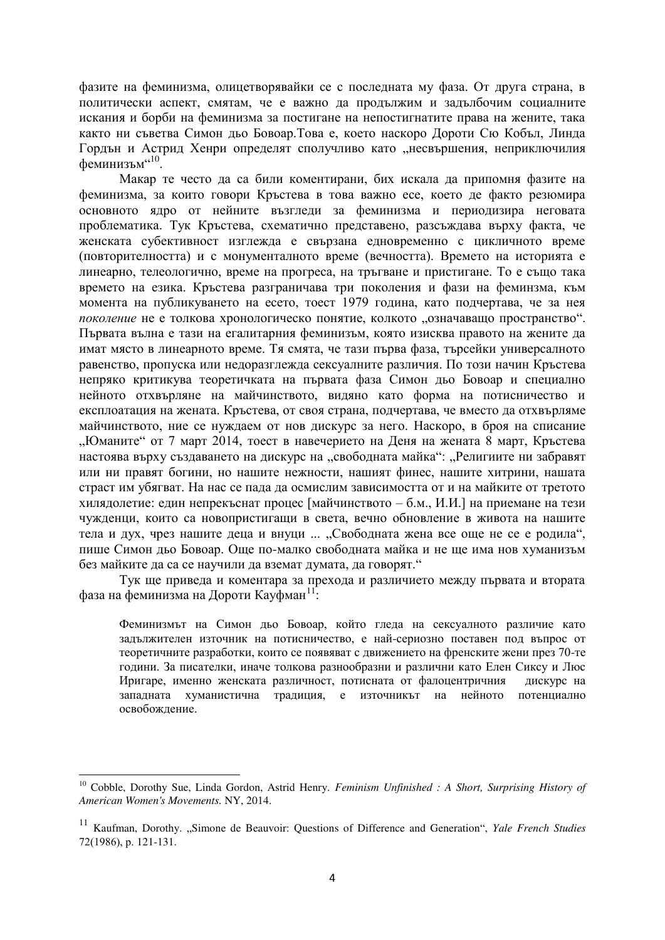фазите на феминизма, олицетворявайки се с последната му фаза. От друга страна, в политически аспект, смятам, че е важно да продължим и задълбочим социалните искания и борби на феминизма за постигане на непостигнатите права на жените, така както ни съветва Симон дьо Бовоар. Това е, което наскоро Дороти Сю Кобъл, Линда Гордън и Астрид Хенри определят сполучливо като "несвършения, неприключилия феминизъм"10.

Макар те често да са били коментирани, бих искала да припомня фазите на феминизма, за които говори Кръстева в това важно есе, което де факто резюмира основното ядро от нейните възгледи за феминизма и периодизира неговата проблематика. Тук Кръстева, схематично представено, разсъждава върху факта, че женската субективност изглежда е свързана едновременно с цикличното време (повторителността) и с монументалното време (вечността). Времето на историята е линеарно, телеологично, време на прогреса, на тръгване и пристигане. То е също така времето на езика. Кръстева разграничава три поколения и фази на феминзма, към момента на публикуването на есето, тоест 1979 година, като подчертава, че за нея поколение не е толкова хронологическо понятие, колкото "означаващо пространство". Първата вълна е тази на егалитарния феминизъм, която изисква правото на жените да имат място в линеарното време. Тя смята, че тази първа фаза, търсейки универсалното равенство, пропуска или недоразглежда сексуалните различия. По този начин Кръстева непряко критикува теоретичката на първата фаза Симон дьо Бовоар и специално нейното отхвърляне на майчинството, видяно като форма на потисничество и експлоатация на жената. Кръстева, от своя страна, полчертава, че вместо ла отхвърляме майчинството, ние се нуждаем от нов дискурс за него. Наскоро, в броя на списание "Юманите" от 7 март 2014, тоест в навечерието на Деня на жената 8 март, Кръстева настоява върху създаването на дискурс на "свободната майка": "Религиите ни забравят или ни правят богини, но нашите нежности, нашият финес, нашите хитрини, нашата страст им убягват. На нас се пада да осмислим зависимостта от и на майките от третото хилядолетие: един непрекъснат процес [майчинството – б.м., И.И.] на приемане на тези чужденци, които са новопристигащи в света, вечно обновление в живота на нашите тела и дух, чрез нашите деца и внуци ... "Свободната жена все още не се е родила", пише Симон дьо Бовоар. Още по-малко свободната майка и не ще има нов хуманизъм без майките да са се научили да вземат думата, да говорят."

Тук ще приведа и коментара за прехода и различието между първата и втората фаза на феминизма на Дороти Кауфман<sup>11</sup>:

Феминизмът на Симон дьо Бовоар, който гледа на сексуалното различие като задължителен източник на потисничество, е най-сериозно поставен под въпрос от теоретичните разработки, които се появяват с движението на френските жени през 70-те години. За писателки, иначе толкова разнообразни и различни като Елен Сиксу и Люс Иригаре, именно женската различност, потисната от фалоцентричния дискурс на западната хуманистична традиция, е източникът на нейното потенциално освобожление.

<sup>&</sup>lt;sup>10</sup> Cobble, Dorothy Sue, Linda Gordon, Astrid Henry. *Feminism Unfinished : A Short, Surprising History of American Women's Movements.* NY, 2014.

<sup>&</sup>lt;sup>11</sup> Kaufman, Dorothy. "Simone de Beauvoir: Questions of Difference and Generation", *Yale French Studies*  $72(1986)$ , p.  $121-131$ .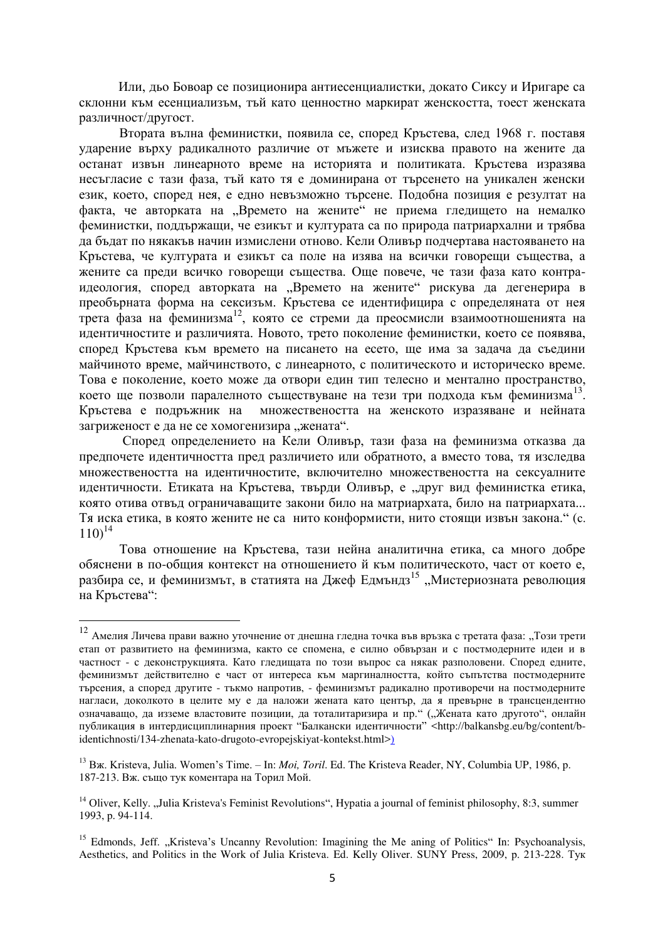Или, дьо Бовоар се позиционира антиесенциалистки, докато Сиксу и Иригаре са склонни към есенциализъм, тъй като ценностно маркират женскостта, тоест женската различност/другост.

Втората вълна феминистки, появила се, според Кръстева, след 1968 г. поставя ударение върху радикалното различие от мъжете и изисква правото на жените да останат извън линеарното време на историята и политиката. Кръстева изразява несъгласие с тази фаза, тъй като тя е доминирана от търсенето на уникален женски език, което, според нея, е едно невъзможно търсене. Подобна позиция е резултат на факта, че авторката на "Времето на жените" не приема гледището на немалко феминистки, поддържащи, че езикът и културата са по природа патриархални и трябва да бъдат по някакъв начин измислени отново. Кели Оливър подчертава настояването на Кръстева, че културата и езикът са поле на изява на всички говорещи същества, а жените са преди всичко говорещи същества. Още повече, че тази фаза като контраидеология, според авторката на "Времето на жените" рискува да дегенерира в преобърната форма на сексизъм. Кръстева се идентифицира с определяната от нея трета фаза на феминизма<sup>12</sup>, която се стреми да преосмисли взаимоотношенията на идентичностите и различията. Новото, трето поколение феминистки, което се появява, според Кръстева към времето на писането на есето, ще има за задача да съедини майчиното време, майчинството, с линеарното, с политическото и историческо време. Това е поколение, което може да отвори един тип телесно и ментално пространство. което ще позволи паралелното съществуване на тези три подхода към феминизма<sup>13</sup>. Кръстева е подръжник на множествеността на женското изразяване и нейната загриженост е да не се хомогенизира "жената".

Според определението на Кели Оливър, тази фаза на феминизма отказва да предпочете идентичността пред различието или обратното, а вместо това, тя изследва множествеността на идентичностите, включително множествеността на сексуалните идентичности. Етиката на Кръстева, твърди Оливър, е "друг вид феминистка етика, която отива отвъд ограничаващите закони било на матриархата, било на патриархата... Тя иска етика, в която жените не са нито конформисти, нито стоящи извън закона." (с.  $110)^{14}$ 

Това отношение на Кръстева, тази нейна аналитична етика, са много добре обяснени в по-общия контекст на отношението й към политическото, част от което е, разбира се, и феминизмът, в статията на Джеф Едмъндз<sup>15</sup> "Мистериозната революция на Кръстева":

 $12$  Амелия Личева прави важно уточнение от днешна гледна точка във връзка с третата фаза: "Този трети етап от развитието на феминизма, както се спомена, е силно обвързан и с постмодерните идеи и в частност - с деконструкцията. Като гледищата по този въпрос са някак разполовени. Според едните, феминизмът действително е част от интереса към маргиналността, който съпътства постмодерните търсения, а според другите - тъкмо напротив, - феминизмът радикално противоречи на постмодерните нагласи, доколкото в целите му е да наложи жената като център, да я превърне в трансцендентно означаващо, да изземе властовите позиции, да тоталитаризира и пр." ("Жената като другото", онлайн публикация в интердисциплинарния проект "Балкански идентичности" <http://balkansbg.eu/bg/content/bidentichnosti/134-zhenata-kato-drugoto-evropejskiyat-kontekst.html>)

<sup>&</sup>lt;sup>13</sup> Bx. Kristeva, Julia. Women's Time. – In: *Moi, Toril.* Ed. The Kristeva Reader, NY, Columbia UP, 1986, p. 187-213. Вж. също тук коментара на Торил Мой.

<sup>&</sup>lt;sup>14</sup> Oliver, Kelly. "Julia Kristeva's Feminist Revolutions", Hypatia a journal of feminist philosophy, 8:3, summer 1993, p. 94-114.

<sup>&</sup>lt;sup>15</sup> Edmonds, Jeff. "Kristeva's Uncanny Revolution: Imagining the Me aning of Politics" In: Psychoanalysis, Aesthetics, and Politics in the Work of Julia Kristeva. Ed. Kelly Oliver. SUNY Press, 2009, p. 213-228. Tyk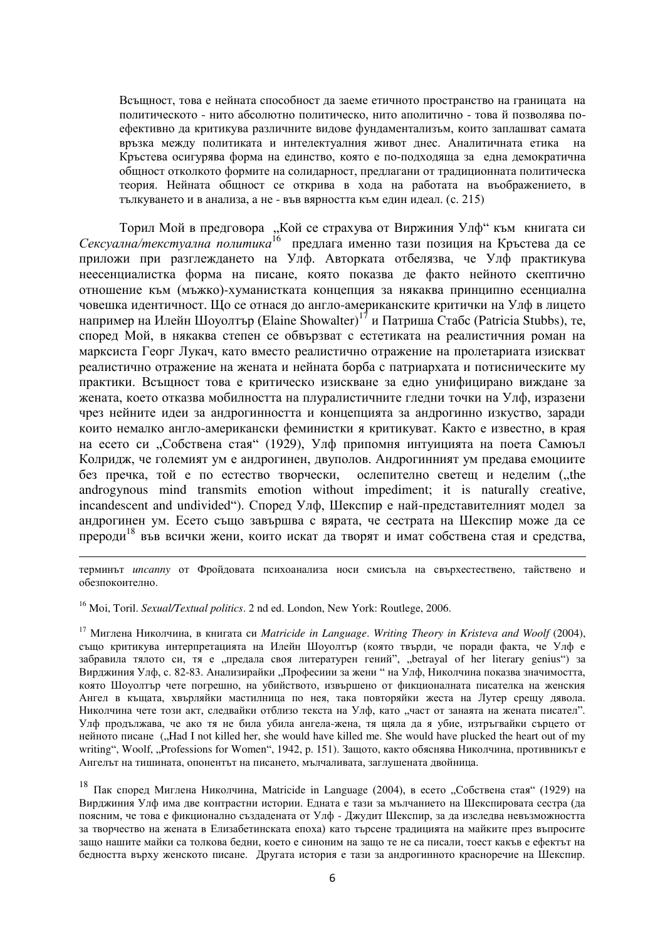Всъщност, това е нейната способност да заеме етичното пространство на границата на политическото - нито абсолютно политическо, нито аполитично - това й позволява поефективно да критикува различните видове фундаментализъм, които заплашват самата връзка межлу политиката и интелектуалния живот лнес. Аналитичната етика на Кръстева осигурява форма на единство, която е по-подходяща за една демократична общност отколкото формите на солидарност, предлагани от традиционната политическа теория. Нейната общност се открива в хода на работата на въображението, в тыкуването и в анализа, а не - във вярността към един идеал. (с. 215)

Торил Мой в предговора "Кой се страхува от Виржиния Улф" към книгата си Сексуална/текстуална политика<sup>16</sup> предлага именно тази позиция на Кръстева да се приложи при разглеждането на Улф. Авторката отбелязва, че Улф практикува неесенциалистка форма на писане, която показва де факто нейното скептично отношение към (мъжко)-хуманистката концепция за някаква принципно есенциална човешка идентичност. Що се отнася до англо-американските критички на Улф в лицето например на Илейн Шоуолтър (Elaine Showalter)<sup>17</sup> и Патриша Стабс (Patricia Stubbs), те, според Мой, в някаква степен се обвързват с естетиката на реалистичния роман на марксиста Георг Лукач, като вместо реалистично отражение на пролетариата изискват реалистично отражение на жената и нейната борба с патриархата и потисническите му практики. Всъщност това е критическо изискване за едно унифицирано виждане за жената, което отказва мобилността на плуралистичните гледни точки на Улф, изразени чрез нейните илеи за анлрогинността и концепцията за анлрогинно изкуство, зарали които немалко англо-американски феминистки я критикуват. Както е известно, в края на есето си "Собствена стая" (1929), Улф припомня интуицията на поета Самюъл Колридж, че големият ум е андрогинен, двуполов. Андрогинният ум предава емоциите без пречка, той е по естество творчески, ослепително светещ и неделим ("the androgynous mind transmits emotion without impediment; it is naturally creative, incandescent and undivided"). Според Улф, Шекспир е най-представителният модел за андрогинен ум. Есето също завършва с вярата, че сестрата на Шекспир може да се прероди<sup>18</sup> във всички жени, които искат да творят и имат собствена стая и средства,

терминът *uncanny* от Фройдовата психоанализа носи смисъла на свърхестествено, тайствено и обезпокоително.

<sup>16</sup> Moi, Toril. *Sexual/Textual politics*. 2 nd ed. London, New York: Routlege, 2006.

1

<sup>17</sup> Миглена Николчина, в книгата си *Matricide in Language*. *Writing Theory in Kristeva and Woolf* (2004), също критикува интерпретацията на Илейн Шоуолтър (която твърди, че поради факта, че Улф е забравила тялото си, тя е "предала своя литературен гений", "betrayal of her literary genius") за Вирджиния Улф, с. 82-83. Анализирайки "Професиии за жени " на Улф, Николчина показва значимостта, която Шоуолтър чете погрешно, на убийството, извършено от фикционалната писателка на женския Ангел в къщата, хвърляйки мастилница по нея, така повторяйки жеста на Лутер срещу дявола. Николчина чете този акт, следвайки отблизо текста на Улф, като "част от занаята на жената писател". Улф продължава, че ако тя не била убила ангела-жена, тя щяла да я убие, изтръгвайки сърцето от нейното писане ("Had I not killed her, she would have killed me. She would have plucked the heart out of my writing", Woolf, "Professions for Women", 1942, p. 151). Защото, както обяснява Николчина, противникът е Ангелът на тишината, опонентът на писането, мълчаливата, заглушената двойница.

<sup>18</sup> Пак според Миглена Николчина, Matricide in Language (2004), в есето "Собствена стая" (1929) на Вирджиния Улф има две контрастни истории. Едната е тази за мълчанието на Шекспировата сестра (да поясним, че това е фикционално създадената от Улф - Джудит Шекспир, за да изследва невъзможността за творчество на жената в Елизабетинската епоха) като търсене традицията на майките през въпросите защо нашите майки са толкова бедни, което е синоним на защо те не са писали, тоест какъв е ефектът на бедността върху женското писане. Другата история е тази за андрогинното красноречие на Шекспир.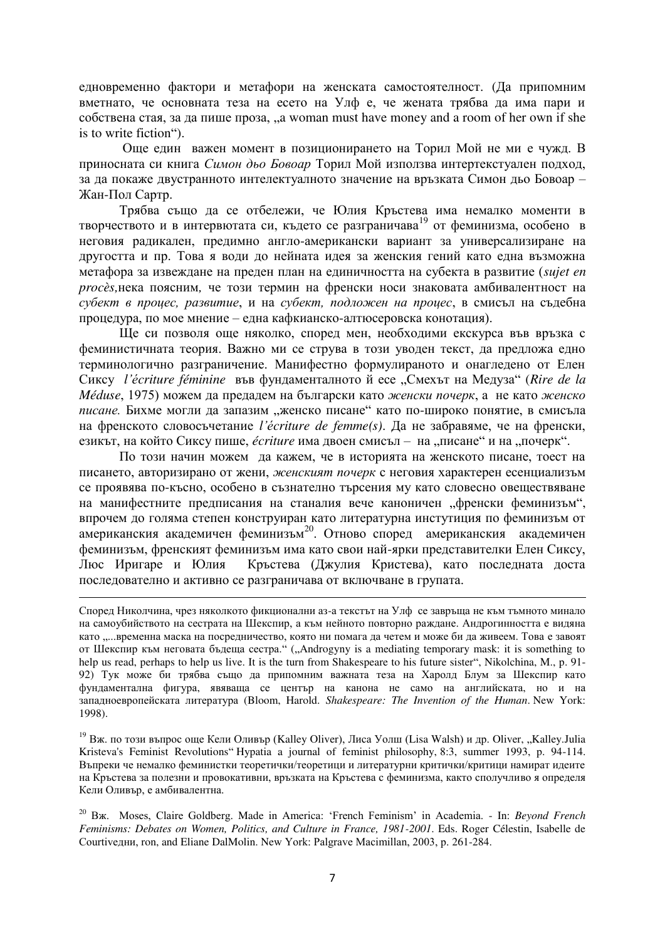едновременно фактори и метафори на женската самостоятелност. (Да припомним вметнато, че основната теза на есето на Улф е, че жената трябва да има пари и  $\overline{c}$ обствена стая, за да пише проза, "a woman must have money and a room of her own if she is to write fiction").

Още един важен момент в позиционирането на Торил Мой не ми е чужд. В приносната си книга Симон дьо Бовоар Торил Мой използва интертекстуален подход, за да покаже двустранното интелектуалното значение на връзката Симон дьо Бовоар – Жан-Пол Сартр.

Трябва също да се отбележи, че Юлия Кръстева има немалко моменти в творчеството и в интервютата си, където се разграничава<sup>19</sup> от феминизма, особено в неговия радикален, предимно англо-американски вариант за универсализиране на другостта и пр. Това я води до нейната идея за женския гений като една възможна метафора за извеждане на преден план на единичността на субекта в развитие (*sujet en procès*, нека поясним, че този термин на френски носи знаковата амбивалентност на субект в процес, развитие, и на субект, подложен на процес, в смисъл на съдебна процедура, по мое мнение – една кафкианско-алтю серовска конотация).

Ще си позволя още няколко, според мен, необходими екскурса във връзка с феминистичната теория. Важно ми се струва в този уводен текст, да предложа едно терминологично разграничение. Манифестно формулираното и онагледено от Елен ɋɢɤɫɭ *l'цcriture féminine* ɜɴɜ ɮɭɧɞɚɦɟɧɬɚɥɧɨɬɨ ɣ ɟɫɟ "ɋɦɟɯɴɬ ɧɚ Ɇɟɞɭɡɚ" (*Rire de la Méduse*, 1975) можем да предадем на български като женски почерк, а не като женско писане. Бихме могли ла запазим "женско писане" като по-широко понятие, в смисъла на френското словосъчетание *l'écriture de femme(s)*. Да не забравяме, че на френски, езикът, на който Сиксу пише, *écriture* има двоен смисъл – на "писане" и на "почерк".

По този начин можем да кажем, че в историята на женското писане, тоест на писането, авторизирано от жени, женският почерк с неговия характерен есенциализъм се проявява по-късно, особено в съзнателно търсения му като словесно овеществяване на манифестните предписания на станалия вече каноничен "френски феминизъм", впрочем до голяма степен конструиран като литературна инстутиция по феминизъм от американския академичен феминизъм<sup>20</sup>. Отново според американския академичен феминизъм, френският феминизъм има като свои най-ярки представителки Елен Сиксу, Люс Иригаре и Юлия Кръстева (Джулия Кристева), като последната доста последователно и активно се разграничава от включване в групата.

<u>.</u>

<sup>19</sup> Вж. по този въпрос още Кели Оливър (Kalley Oliver), Лиса Уолш (Lisa Walsh) и др. Oliver, "Kalley.Julia Kristeva's Feminist Revolutions" Hypatia a journal of feminist philosophy, 8:3, summer 1993, p. 94-114. Въпреки че немалко феминистки теоретички/теоретици и литературни критички/критици намират илеите на Кръстева за полезни и провокативни, връзката на Кръстева с феминизма, както сполучливо я определя Кели Оливър, е амбивалентна.

<sup>20</sup> Bж. Moses, Claire Goldberg. Made in America: 'French Feminism' in Academia. - In: *Beyond French Feminisms: Debates on Women, Politics, and Culture in France, 1981-2001*. Eds. Roger Célestin, Isabelle de Courtiveдни, ron, and Eliane DalMolin. New York: Palgrave Macimillan, 2003, p. 261-284.

Според Николчина, чрез няколкото фикционални аз-а текстът на Улф се завръща не към тъмното минало на самоубийството на сестрата на Шекспир, а към нейното повторно раждане. Андрогинността е видяна като "...временна маска на посредничество, която ни помага да четем и може би да живеем. Това е завоят от Шекспир към неговата бъдеща сестра." ("Androgyny is a mediating temporary mask: it is something to help us read, perhaps to help us live. It is the turn from Shakespeare to his future sister", Nikolchina, M., p. 91-92) Тук може би трябва също да припомним важната теза на Харолд Блум за Шекспир като фундаментална фигура, явяваща се център на канона не само на английската, но и на западноевропейската литература (Bloom, Harold. *Shakespeare: The Invention of the Human*. New York: 1998).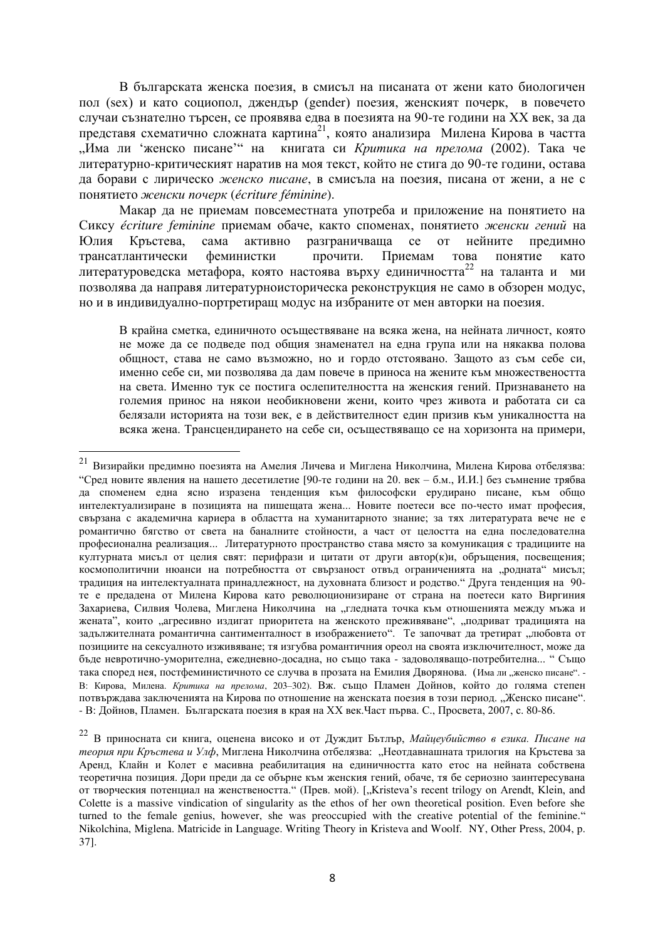В българската женска поезия, в смисъл на писаната от жени като биологичен пол (sex) и като социопол, джендър (gender) поезия, женският почерк, в повечето случаи съзнателно търсен, се проявява едва в поезията на 90-те години на XX век, за да тредставя схематично сложната картина<sup>21</sup>, която анализира Милена Кирова в частта "Има ли 'женско писане'" на книгата си Критика на прелома (2002). Така че литературно-критическият наратив на моя текст, който не стига до 90-те години, остава да борави с лирическо женско писане, в смисъла на поезия, писана от жени, а не с понятието женски почерк (écriture féminine).

Макар да не приемам повсеместната употреба и приложение на понятието на Сиксу écriture feminine приемам обаче, както споменах, понятието женски гений на Юлия Кръстева, сама активно разграничваща се от нейните предимно трансатлантически феминистки прочити. Приемам това понятие като литературоведска метафора, която настоява върху единичността<sup>22</sup> на таланта и ми позволява да направя литературноисторическа реконструкция не само в обзорен модус, но и в индивидуално-портретиращ модус на избраните от мен авторки на поезия.

В крайна сметка, единичното осъществяване на всяка жена, на нейната личност, която не може да се подведе под общия знаменател на една група или на някаква полова общност, става не само възможно, но и гордо отстоявано. Защото аз съм себе си, именно себе си, ми позволява да дам повече в приноса на жените към множествеността на света. Именно тук се постига ослепителността на женския гений. Признаването на големия принос на някои необикновени жени, които чрез живота и работата си са белязали историята на този век, е в действителност един призив към уникалността на всяка жена. Трансцендирането на себе си, осъществяващо се на хоризонта на примери,

 $^{21}$  Визирайки предимно поезията на Амелия Личева и Миглена Николчина, Милена Кирова отбелязва: "Сред новите явления на нашето десетилетие [90-те години на 20. век – б.м., И.И.] без съмнение трябва да споменем една ясно изразена тенденция към философски ерудирано писане, към общо интелектуализиране в позицията на пишещата жена... Новите поетеси все по-често имат професия, свързана с академична кариера в областта на хуманитарното знание; за тях литературата вече не е романтично бягство от света на баналните стойности, а част от целостта на една последователна професионална реализация... Литературното пространство става място за комуникация с традициите на културната мисъл от целия свят: перифрази и цитати от други автор(к)и, обръщения, посвещения; космополитични нюанси на потребността от свързаност отвъд ограниченията на "родната" мисъл; традиция на интелектуалната принадлежност, на духовната близост и родство. Друга тенденция на 90те е предалена от Милена Кирова като революционизиране от страна на поетеси като Виргиния Захариева, Силвия Чолева, Миглена Николчина на "гледната точка към отношенията между мъжа и жената", които "агресивно издигат приоритета на женското преживяване", "подриват традицията на задължителната романтична сантименталност в изображението". Те започват да третират "любовта от позициите на сексуалното изживяване; тя изгубва романтичния ореол на своята изключителност, може да бъде невротично-уморителна, ежедневно-досадна, но също така - задоволяващо-потребителна... " Също така според нея, постфеминистичното се случва в прозата на Емилия Дворянова. (Има ли "женско писане". -В: Кирова, Милена. *Критика на прелома*, 203-302). Вж. също Пламен Дойнов, който до голяма степен потвърждава заключенията на Кирова по отношение на женската поезия в този период. "Женско писане". - В: Дойнов, Пламен. Българската поезия в края на XX век. Част първа. С., Просвета, 2007, с. 80-86.

<sup>&</sup>lt;sup>22</sup> В приносната си книга, оценена високо и от Дуждит Бътлър, Майџеубийство в езика. Писане на теория при Кръстева и Улф, Миглена Николчина отбелязва: "Неотдавнашната трилогия на Кръстева за Аренл. Клайн и Колет е масивна реабилитация на елиничността като етос на нейната собствена теоретична позиция. Дори прели ла се обърне към женския гений, обаче, тя бе сериозно заинтересувана от творческия потенциал на женствеността." (Прев. мой). ["Kristeva's recent trilogy on Arendt, Klein, and Colette is a massive vindication of singularity as the ethos of her own theoretical position. Even before she turned to the female genius, however, she was preoccupied with the creative potential of the feminine." Nikolchina, Miglena. Matricide in Language. Writing Theory in Kristeva and Woolf. NY, Other Press, 2004, p. 37].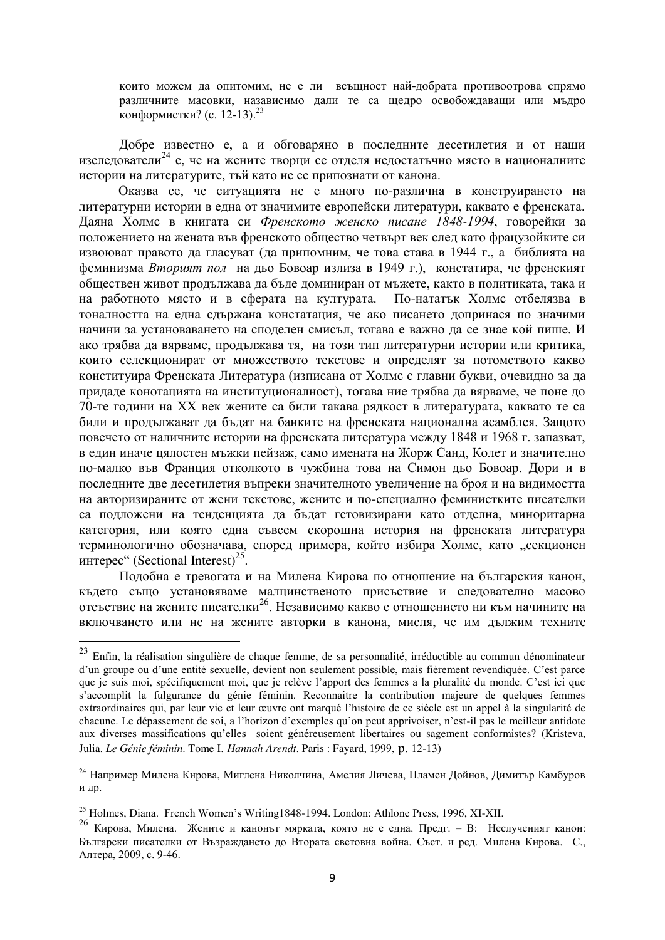които можем да опитомим, не е ли всъщност най-добрата противоотрова спрямо различните масовки, назависимо дали те са щедро освобождаващи или мъдро конформистки? (с. 12-13).<sup>23</sup>

Добре известно е, а и обговаряно в последните десетилетия и от наши изслелователи<sup>24</sup> е, че на жените творци се отделя недостатьчно място в националните истории на литературите, тъй като не се припознати от канона.

Оказва се, че ситуацията не е много по-различна в конструирането на литературни истории в една от значимите европейски литератури, каквато е френската. Даяна Холмс в книгата си Френското женско писане 1848-1994, говорейки за положението на жената във френското общество четвърт век след като фрацузойките си извоюват правото да гласуват (да припомним, че това става в 1944 г., а библията на феминизма *Вторият пол* на дьо Бовоар излиза в 1949 г.), констатира, че френският обществен живот продължава да бъде доминиран от мъжете, както в политиката, така и на работното място и в сферата на културата. По-нататък Холмс отбелязва в тоналността на една сдържана констатация, че ако писането допринася по значими начини за установаването на споделен смисъл, тогава е важно да се знае кой пише. И ако трябва да вярваме, продължава тя, на този тип литературни истории или критика, които селекционират от множеството текстове и определят за потомството какво конституира Френската Литература (изписана от Холмс с главни букви, очевидно за да придаде конотацията на институционалност), тогава ние трябва да вярваме, че поне до 70-те години на XX век жените са били такава рядкост в литературата, каквато те са били и продължават да бъдат на банките на френската национална асамблея. Защото повечето от наличните истории на френската литература между 1848 и 1968 г. запазват, в един иначе цялостен мъжки пейзаж, само имената на Жорж Санд, Колет и значително по-малко във Франция отколкото в чужбина това на Симон дьо Бовоар. Дори и в последните две десетилетия въпреки значителното увеличение на броя и на видимостта на авторизираните от жени текстове, жените и по-специално феминистките писателки са подложени на тенденцията да бъдат гетовизирани като отделна, миноритарна категория, или която една съвсем скорошна история на френската литература терминологично обозначава, според примера, който избира Холмс, като "секционен интерес" (Sectional Interest)<sup>25</sup>.

Подобна е тревогата и на Милена Кирова по отношение на българския канон, където също установяваме малцинственото присъствие и следователно масово отсъствие на жените писателки<sup>26</sup>. Независимо какво е отношението ни към начините на включването или не на жените авторки в канона, мисля, че им дължим техните

 $^{23}$  Enfin, la réalisation singulière de chaque femme, de sa personnalité, irréductible au commun dénominateur d'un groupe ou d'une entité sexuelle, devient non seulement possible, mais fièrement revendiquée. C'est parce que je suis moi, spécifiquement moi, que je relève l'apport des femmes a la pluralité du monde. C'est ici que s'accomplit la fulgurance du génie féminin. Reconnaitre la contribution majeure de quelques femmes extraordinaires qui, par leur vie et leur œuvre ont marqué l'histoire de ce siècle est un appel à la singularité de chacune. Le dépassement de soi, a l'horizon d'exemples qu'on peut apprivoiser, n'est-il pas le meilleur antidote aux diverses massifications qu'elles soient généreusement libertaires ou sagement conformistes? (Kristeva, Julia. *Le Génie féminin*. Tome I. *Hannah Arendt*. Paris : Fayard, 1999, p. 12-13)

<sup>&</sup>lt;sup>24</sup> Например Милена Кирова, Миглена Николчина, Амелия Личева, Пламен Дойнов, Димитър Камбуров и др.

 $^{25}$  Holmes, Diana. French Women's Writting1848-1994. London: Athlone Press, 1996, XI-XII.

<sup>&</sup>lt;sup>26</sup> Киюова, Милена. Жените и канонът мярката, която не е една. Предг. – В: Неслученият канон: Български писателки от Възраждането до Втората световна война. Съст. и ред. Милена Кирова. С., Алтера, 2009, с. 9-46.